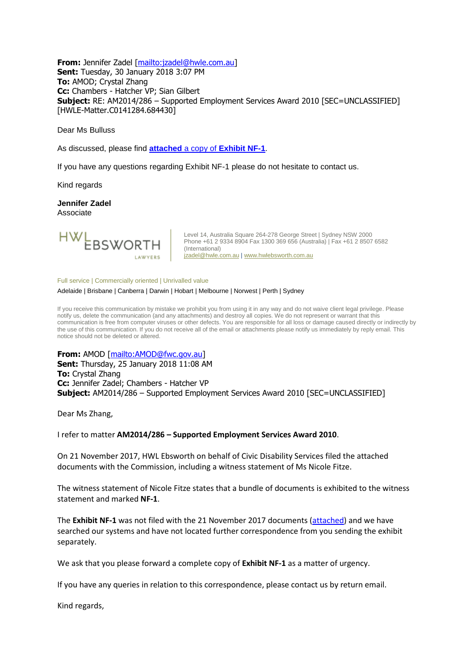**From:** Jennifer Zadel [\[mailto:jzadel@hwle.com.au\]](mailto:jzadel@hwle.com.au) **Sent:** Tuesday, 30 January 2018 3:07 PM **To:** AMOD; Crystal Zhang **Cc:** Chambers - Hatcher VP; Sian Gilbert **Subject:** RE: AM2014/286 – Supported Employment Services Award 2010 [SEC=UNCLASSIFIED] [HWLE-Matter.C0141284.684430]

Dear Ms Bulluss

As discussed, please find **attached** a copy of **[Exhibit NF-1](https://www.fwc.gov.au/documents/sites/awardsmodernfouryr/am2014286-sub-civic-211117.pdf)**.

If you have any questions regarding Exhibit NF-1 please do not hesitate to contact us.

Kind regards

**Jennifer Zadel** Associate



Level 14, Australia Square 264-278 George Street | Sydney NSW 2000 Phone +61 2 9334 8904 Fax 1300 369 656 (Australia) | Fax +61 2 8507 6582 (International) [jzadel@hwle.com.au](mailto:jzadel@hwle.com.au) [| www.hwlebsworth.com.au](http://www.hwlebsworth.com.au/)

Full service | Commercially oriented | Unrivalled value

Adelaide | Brisbane | Canberra | Darwin | Hobart | Melbourne | Norwest | Perth | Sydney

If you receive this communication by mistake we prohibit you from using it in any way and do not waive client legal privilege. Please notify us, delete the communication (and any attachments) and destroy all copies. We do not represent or warrant that this communication is free from computer viruses or other defects. You are responsible for all loss or damage caused directly or indirectly by the use of this communication. If you do not receive all of the email or attachments please notify us immediately by reply email. This notice should not be deleted or altered.

**From:** AMOD [\[mailto:AMOD@fwc.gov.au\]](mailto:AMOD@fwc.gov.au)

**Sent:** Thursday, 25 January 2018 11:08 AM **To:** Crystal Zhang **Cc:** Jennifer Zadel; Chambers - Hatcher VP **Subject:** AM2014/286 – Supported Employment Services Award 2010 [SEC=UNCLASSIFIED]

Dear Ms Zhang,

I refer to matter **AM2014/286 – Supported Employment Services Award 2010**.

On 21 November 2017, HWL Ebsworth on behalf of Civic Disability Services filed the attached documents with the Commission, including a witness statement of Ms Nicole Fitze.

The witness statement of Nicole Fitze states that a bundle of documents is exhibited to the witness statement and marked **NF-1**.

The **Exhibit NF-1** was not filed with the 21 November 2017 documents [\(attached\)](https://www.fwc.gov.au/documents/sites/awardsmodernfouryr/am2014286-sub-civic-211117.pdf) and we have searched our systems and have not located further correspondence from you sending the exhibit separately.

We ask that you please forward a complete copy of **Exhibit NF-1** as a matter of urgency.

If you have any queries in relation to this correspondence, please contact us by return email.

Kind regards,